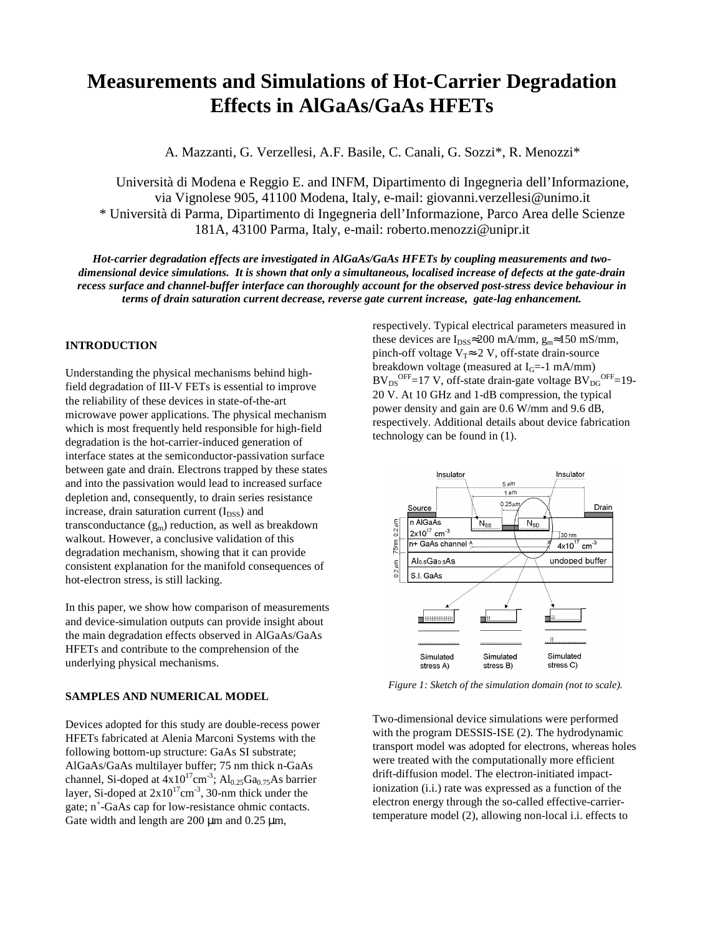# **Measurements and Simulations of Hot-Carrier Degradation Effects in AlGaAs/GaAs HFETs**

A. Mazzanti, G. Verzellesi, A.F. Basile, C. Canali, G. Sozzi\*, R. Menozzi\*

Università di Modena e Reggio E. and INFM, Dipartimento di Ingegneria dell'Informazione, via Vignolese 905, 41100 Modena, Italy, e-mail: giovanni.verzellesi@unimo.it \* Università di Parma, Dipartimento di Ingegneria dell'Informazione, Parco Area delle Scienze 181A, 43100 Parma, Italy, e-mail: roberto.menozzi@unipr.it

*Hot-carrier degradation effects are investigated in AlGaAs/GaAs HFETs by coupling measurements and two*dimensional device simulations. It is shown that only a simultaneous, localised increase of defects at the gate-drain *recess surface and channel-buffer interface can thoroughly account for the observed post-stress device behaviour in terms of drain saturation current decrease, reverse gate current increase, gate-lag enhancement.*

## **INTRODUCTION**

Understanding the physical mechanisms behind highfield degradation of III-V FETs is essential to improve the reliability of these devices in state-of-the-art microwave power applications. The physical mechanism which is most frequently held responsible for high-field degradation is the hot-carrier-induced generation of interface states at the semiconductor-passivation surface between gate and drain. Electrons trapped by these states and into the passivation would lead to increased surface depletion and, consequently, to drain series resistance increase, drain saturation current  $(I_{DSS})$  and transconductance  $(g_m)$  reduction, as well as breakdown walkout. However, a conclusive validation of this degradation mechanism, showing that it can provide consistent explanation for the manifold consequences of hot-electron stress, is still lacking.

In this paper, we show how comparison of measurements and device-simulation outputs can provide insight about the main degradation effects observed in AlGaAs/GaAs HFETs and contribute to the comprehension of the underlying physical mechanisms.

# **SAMPLES AND NUMERICAL MODEL**

Devices adopted for this study are double-recess power HFETs fabricated at Alenia Marconi Systems with the following bottom-up structure: GaAs SI substrate; AlGaAs/GaAs multilayer buffer; 75 nm thick n-GaAs channel, Si-doped at  $4x10^{17}$ cm<sup>-3</sup>; Al<sub>0.25</sub>Ga<sub>0.75</sub>As barrier layer, Si-doped at  $2x10^{17}$ cm<sup>-3</sup>, 30-nm thick under the gate; n + -GaAs cap for low-resistance ohmic contacts. Gate width and length are  $200 \mu m$  and  $0.25 \mu m$ ,

respectively. Typical electrical parameters measured in these devices are  $I_{DSS} \approx 200$  mA/mm,  $g_m \approx 150$  mS/mm, pinch-off voltage V<sub>T</sub> $\approx$ -2 V, off-state drain-source breakdown voltage (measured at  $I_G$ =-1 mA/mm)  $BV_{DS}^{OFF}$ =17 V, off-state drain-gate voltage  $BV_{DG}^{OFF}$ =19-20 V. At 10 GHz and 1-dB compression, the typical power density and gain are 0.6 W/mm and 9.6 dB, respectively. Additional details about device fabrication technology can be found in (1).



*Figure 1: Sketch of the simulation domain (not to scale).*

Two-dimensional device simulations were performed with the program DESSIS-ISE (2). The hydrodynamic transport model was adopted for electrons, whereas holes were treated with the computationally more efficient drift-diffusion model. The electron-initiated impactionization (i.i.) rate was expressed as a function of the electron energy through the so-called effective-carriertemperature model (2), allowing non-local i.i. effects to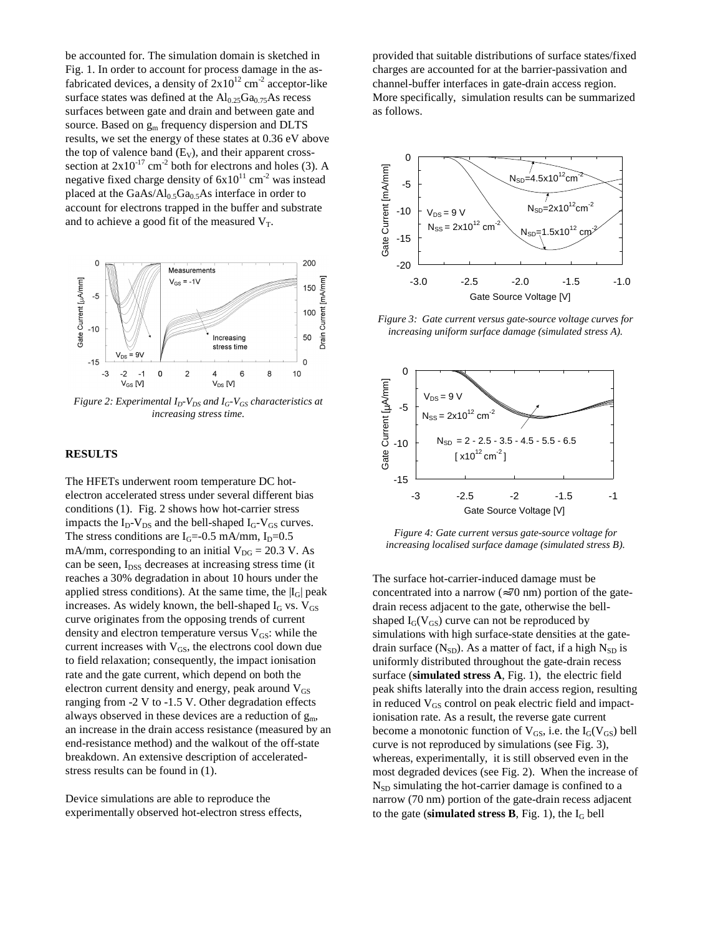be accounted for. The simulation domain is sketched in Fig. 1. In order to account for process damage in the asfabricated devices, a density of  $2x10^{12}$  cm<sup>-2</sup> acceptor-like surface states was defined at the  $Al_{0.25}Ga_{0.75}As$  recess surfaces between gate and drain and between gate and source. Based on  $g_m$  frequency dispersion and DLTS results, we set the energy of these states at 0.36 eV above the top of valence band  $(E_V)$ , and their apparent crosssection at  $2x10^{-17}$  cm<sup>-2</sup> both for electrons and holes (3). A negative fixed charge density of  $6x10^{11}$  cm<sup>-2</sup> was instead placed at the  $GaAs/Al_{0.5}Ga_{0.5}As$  interface in order to account for electrons trapped in the buffer and substrate and to achieve a good fit of the measured  $V_T$ .



*Figure 2: Experimental ID-VDS and IG-VGS characteristics at increasing stress time.*

#### **RESULTS**

The HFETs underwent room temperature DC hotelectron accelerated stress under several different bias conditions (1). Fig. 2 shows how hot-carrier stress impacts the  $I_D-V_{DS}$  and the bell-shaped  $I_G-V_{GS}$  curves. The stress conditions are  $I<sub>G</sub>=-0.5$  mA/mm,  $I<sub>D</sub>=0.5$ mA/mm, corresponding to an initial  $V_{DG} = 20.3$  V. As can be seen, I<sub>DSS</sub> decreases at increasing stress time (it reaches a 30% degradation in about 10 hours under the applied stress conditions). At the same time, the  $|I_G|$  peak increases. As widely known, the bell-shaped  $I_G$  vs.  $V_{GS}$ curve originates from the opposing trends of current density and electron temperature versus  $V_{GS}$ : while the current increases with  $V_{GS}$ , the electrons cool down due to field relaxation; consequently, the impact ionisation rate and the gate current, which depend on both the electron current density and energy, peak around  $V_{GS}$ ranging from -2 V to -1.5 V. Other degradation effects always observed in these devices are a reduction of  $g_m$ , an increase in the drain access resistance (measured by an end-resistance method) and the walkout of the off-state breakdown. An extensive description of acceleratedstress results can be found in (1).

Device simulations are able to reproduce the experimentally observed hot-electron stress effects,

provided that suitable distributions of surface states/fixed charges are accounted for at the barrier-passivation and channel-buffer interfaces in gate-drain access region. More specifically, simulation results can be summarized as follows.



*Figure 3: Gate current versus gate-source voltage curves for increasing uniform surface damage (simulated stress A).*



*Figure 4: Gate current versus gate-source voltage for increasing localised surface damage (simulated stress B).*

The surface hot-carrier-induced damage must be concentrated into a narrow ( $\approx$ 70 nm) portion of the gatedrain recess adjacent to the gate, otherwise the bellshaped  $I_G(V_{GS})$  curve can not be reproduced by simulations with high surface-state densities at the gatedrain surface  $(N_{SD})$ . As a matter of fact, if a high  $N_{SD}$  is uniformly distributed throughout the gate-drain recess surface (**simulated stress A**, Fig. 1), the electric field peak shifts laterally into the drain access region, resulting in reduced  $V_{GS}$  control on peak electric field and impactionisation rate. As a result, the reverse gate current become a monotonic function of  $V_{GS}$ , i.e. the  $I_G(V_{GS})$  bell curve is not reproduced by simulations (see Fig. 3), whereas, experimentally, it is still observed even in the most degraded devices (see Fig. 2). When the increase of  $N_{SD}$  simulating the hot-carrier damage is confined to a narrow (70 nm) portion of the gate-drain recess adjacent to the gate (**simulated stress B**, Fig. 1), the  $I_G$  bell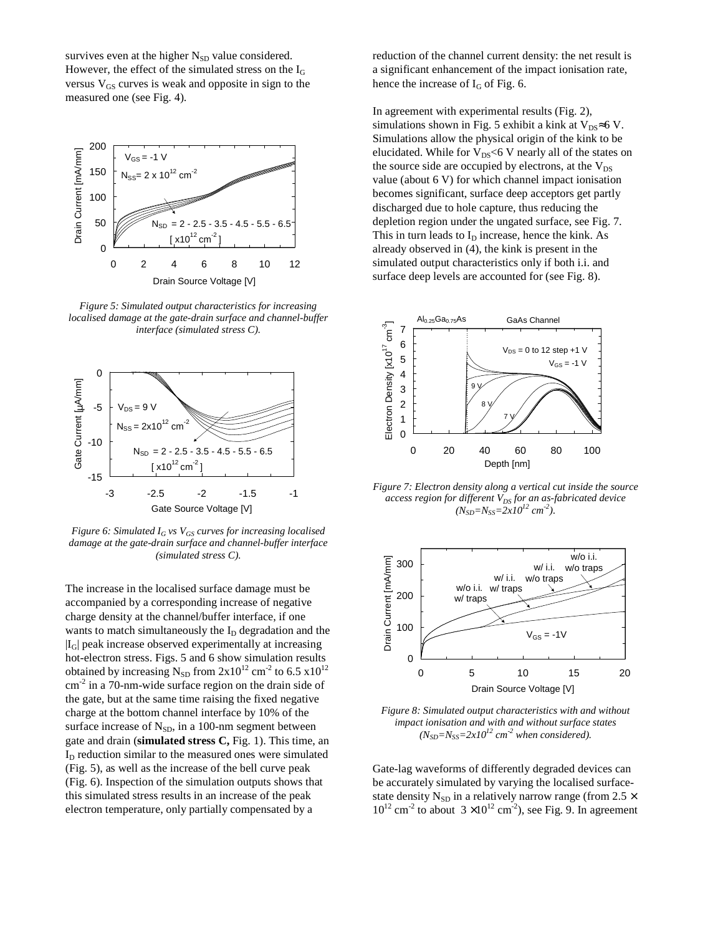survives even at the higher  $N_{SD}$  value considered. However, the effect of the simulated stress on the I<sup>G</sup> versus  $V_{GS}$  curves is weak and opposite in sign to the measured one (see Fig. 4).



*Figure 5: Simulated output characteristics for increasing localised damage at the gate-drain surface and channel-buffer interface (simulated stress C).*



*Figure 6: Simulated I<sup>G</sup> vs VGS curves for increasing localised damage at the gate-drain surface and channel-buffer interface (simulated stress C).*

The increase in the localised surface damage must be accompanied by a corresponding increase of negative charge density at the channel/buffer interface, if one wants to match simultaneously the  $I<sub>D</sub>$  degradation and the  $|I_G|$  peak increase observed experimentally at increasing hot-electron stress. Figs. 5 and 6 show simulation results obtained by increasing  $N_{SD}$  from  $2x10^{12}$  cm<sup>-2</sup> to 6.5  $x10^{12}$  $\text{cm}^2$  in a 70-nm-wide surface region on the drain side of the gate, but at the same time raising the fixed negative charge at the bottom channel interface by 10% of the surface increase of  $N_{SD}$ , in a 100-nm segment between gate and drain (**simulated stress C,** Fig. 1). This time, an  $I<sub>D</sub>$  reduction similar to the measured ones were simulated (Fig. 5), as well as the increase of the bell curve peak (Fig. 6). Inspection of the simulation outputs shows that this simulated stress results in an increase of the peak electron temperature, only partially compensated by a

reduction of the channel current density: the net result is a significant enhancement of the impact ionisation rate, hence the increase of  $I_G$  of Fig. 6.

In agreement with experimental results (Fig. 2), simulations shown in Fig. 5 exhibit a kink at  $V_{DS} \approx 6 V$ . Simulations allow the physical origin of the kink to be elucidated. While for  $V_{DS}$ <6 V nearly all of the states on the source side are occupied by electrons, at the  $V_{DS}$ value (about 6 V) for which channel impact ionisation becomes significant, surface deep acceptors get partly discharged due to hole capture, thus reducing the depletion region under the ungated surface, see Fig. 7. This in turn leads to  $I<sub>D</sub>$  increase, hence the kink. As already observed in (4), the kink is present in the simulated output characteristics only if both i.i. and surface deep levels are accounted for (see Fig. 8).



*Figure 7: Electron density along a vertical cut inside the source access region for different VDS for an as-fabricated device*  $(N_{SD} = N_{SS} = 2x10^{12} \text{ cm}^{-2}).$ 



*Figure 8: Simulated output characteristics with and without impact ionisation and with and without surface states*  $(N_{SD} = N_{SS} = 2x10^{12}$  *cm*<sup>-2</sup> *when considered*).

Gate-lag waveforms of differently degraded devices can be accurately simulated by varying the localised surfacestate density N<sub>SD</sub> in a relatively narrow range (from 2.5  $\times$  $10^{12}$  cm<sup>-2</sup> to about  $3 \times 10^{12}$  cm<sup>-2</sup>), see Fig. 9. In agreement